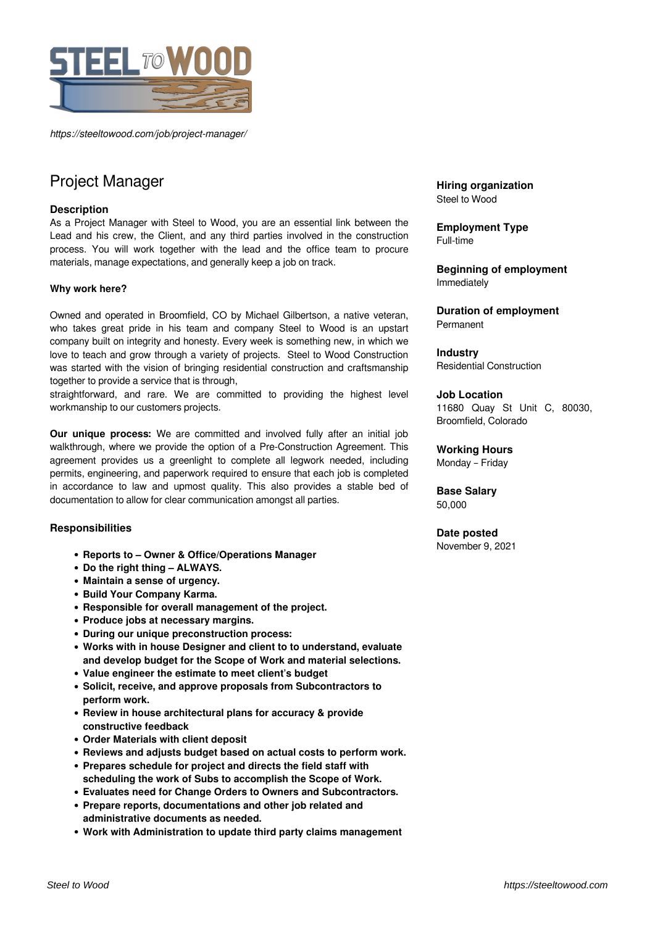

*https://steeltowood.com/job/project-manager/*

# Project Manager

## **Description**

As a Project Manager with Steel to Wood, you are an essential link between the Lead and his crew, the Client, and any third parties involved in the construction process. You will work together with the lead and the office team to procure materials, manage expectations, and generally keep a job on track.

### **Why work here?**

Owned and operated in Broomfield, CO by Michael Gilbertson, a native veteran, who takes great pride in his team and company Steel to Wood is an upstart company built on integrity and honesty. Every week is something new, in which we love to teach and grow through a variety of projects. Steel to Wood Construction was started with the vision of bringing residential construction and craftsmanship together to provide a service that is through,

straightforward, and rare. We are committed to providing the highest level workmanship to our customers projects.

**Our unique process:** We are committed and involved fully after an initial job walkthrough, where we provide the option of a Pre-Construction Agreement. This agreement provides us a greenlight to complete all legwork needed, including permits, engineering, and paperwork required to ensure that each job is completed in accordance to law and upmost quality. This also provides a stable bed of documentation to allow for clear communication amongst all parties.

## **Responsibilities**

- **Reports to Owner & Office/Operations Manager**
- **Do the right thing ALWAYS.**
- **Maintain a sense of urgency.**
- **Build Your Company Karma.**
- **Responsible for overall management of the project.**
- **Produce jobs at necessary margins.**
- **During our unique preconstruction process:**
- **Works with in house Designer and client to to understand, evaluate and develop budget for the Scope of Work and material selections.**
- **Value engineer the estimate to meet client's budget**
- **Solicit, receive, and approve proposals from Subcontractors to perform work.**
- **Review in house architectural plans for accuracy & provide constructive feedback**
- **Order Materials with client deposit**
- **Reviews and adjusts budget based on actual costs to perform work.**
- **Prepares schedule for project and directs the field staff with scheduling the work of Subs to accomplish the Scope of Work.**
- **Evaluates need for Change Orders to Owners and Subcontractors.**
- **Prepare reports, documentations and other job related and administrative documents as needed.**
- **Work with Administration to update third party claims management**

**Hiring organization** Steel to Wood

**Employment Type** Full-time

**Beginning of employment** Immediately

**Duration of employment** Permanent

**Industry** Residential Construction

#### **Job Location**

11680 Quay St Unit C, 80030, Broomfield, Colorado

**Working Hours** Monday – Friday

**Base Salary** 50,000

#### **Date posted**

November 9, 2021